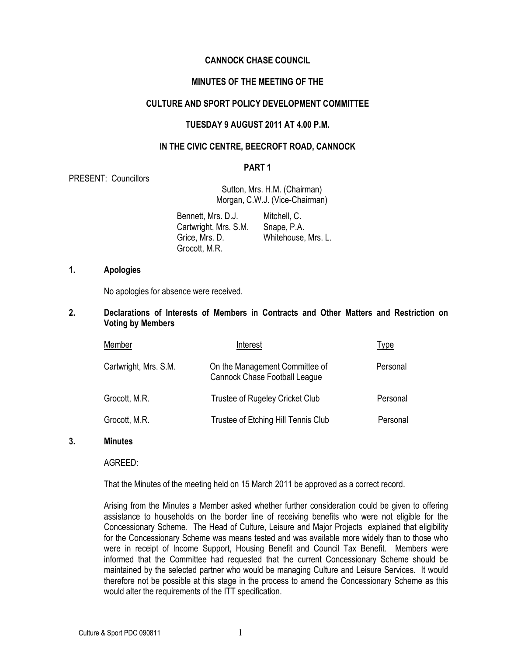### CANNOCK CHASE COUNCIL

# MINUTES OF THE MEETING OF THE

### CULTURE AND SPORT POLICY DEVELOPMENT COMMITTEE

#### TUESDAY 9 AUGUST 2011 AT 4.00 P.M.

### IN THE CIVIC CENTRE, BEECROFT ROAD, CANNOCK

#### PART 1

PRESENT: Councillors

Sutton, Mrs. H.M. (Chairman) Morgan, C.W.J. (Vice-Chairman)

 Bennett, Mrs. D.J. Cartwright, Mrs. S.M. Grice, Mrs. D. Grocott, M.R. Mitchell, C. Snape, P.A. Whitehouse, Mrs. L.

### 1. Apologies

No apologies for absence were received.

2. Declarations of Interests of Members in Contracts and Other Matters and Restriction on Voting by Members

| Member                | Interest                                                               | Type     |
|-----------------------|------------------------------------------------------------------------|----------|
| Cartwright, Mrs. S.M. | On the Management Committee of<br><b>Cannock Chase Football League</b> | Personal |
| Grocott, M.R.         | Trustee of Rugeley Cricket Club                                        | Personal |
| Grocott, M.R.         | Trustee of Etching Hill Tennis Club                                    | Personal |

#### 3. Minutes

AGREED:

That the Minutes of the meeting held on 15 March 2011 be approved as a correct record.

Arising from the Minutes a Member asked whether further consideration could be given to offering assistance to households on the border line of receiving benefits who were not eligible for the Concessionary Scheme. The Head of Culture, Leisure and Major Projects explained that eligibility for the Concessionary Scheme was means tested and was available more widely than to those who were in receipt of Income Support, Housing Benefit and Council Tax Benefit. Members were informed that the Committee had requested that the current Concessionary Scheme should be maintained by the selected partner who would be managing Culture and Leisure Services. It would therefore not be possible at this stage in the process to amend the Concessionary Scheme as this would alter the requirements of the ITT specification.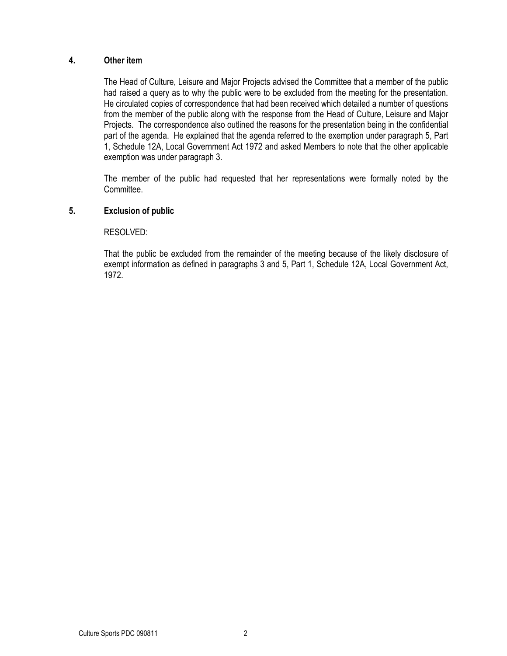### 4. Other item

 The Head of Culture, Leisure and Major Projects advised the Committee that a member of the public had raised a query as to why the public were to be excluded from the meeting for the presentation. He circulated copies of correspondence that had been received which detailed a number of questions from the member of the public along with the response from the Head of Culture, Leisure and Major Projects. The correspondence also outlined the reasons for the presentation being in the confidential part of the agenda. He explained that the agenda referred to the exemption under paragraph 5, Part 1, Schedule 12A, Local Government Act 1972 and asked Members to note that the other applicable exemption was under paragraph 3.

 The member of the public had requested that her representations were formally noted by the Committee.

## 5. Exclusion of public

### RESOLVED:

That the public be excluded from the remainder of the meeting because of the likely disclosure of exempt information as defined in paragraphs 3 and 5, Part 1, Schedule 12A, Local Government Act, 1972.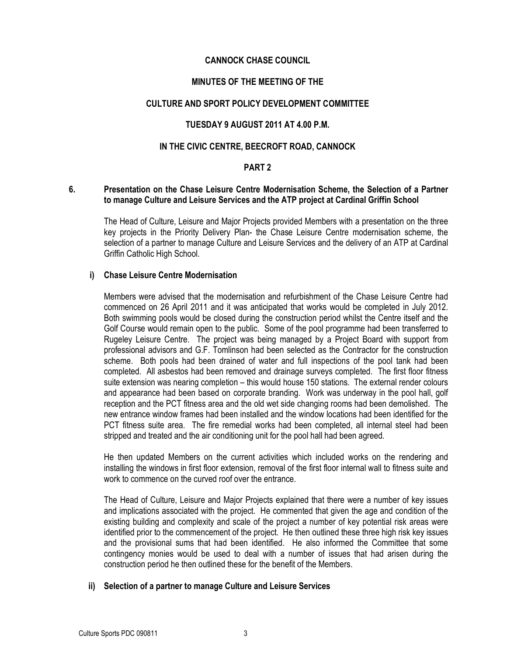## CANNOCK CHASE COUNCIL

# MINUTES OF THE MEETING OF THE

### CULTURE AND SPORT POLICY DEVELOPMENT COMMITTEE

# TUESDAY 9 AUGUST 2011 AT 4.00 P.M.

## IN THE CIVIC CENTRE, BEECROFT ROAD, CANNOCK

### PART 2

### 6. Presentation on the Chase Leisure Centre Modernisation Scheme, the Selection of a Partner to manage Culture and Leisure Services and the ATP project at Cardinal Griffin School

The Head of Culture, Leisure and Major Projects provided Members with a presentation on the three key projects in the Priority Delivery Plan- the Chase Leisure Centre modernisation scheme, the selection of a partner to manage Culture and Leisure Services and the delivery of an ATP at Cardinal Griffin Catholic High School.

### i) Chase Leisure Centre Modernisation

Members were advised that the modernisation and refurbishment of the Chase Leisure Centre had commenced on 26 April 2011 and it was anticipated that works would be completed in July 2012. Both swimming pools would be closed during the construction period whilst the Centre itself and the Golf Course would remain open to the public. Some of the pool programme had been transferred to Rugeley Leisure Centre. The project was being managed by a Project Board with support from professional advisors and G.F. Tomlinson had been selected as the Contractor for the construction scheme. Both pools had been drained of water and full inspections of the pool tank had been completed. All asbestos had been removed and drainage surveys completed. The first floor fitness suite extension was nearing completion – this would house 150 stations. The external render colours and appearance had been based on corporate branding. Work was underway in the pool hall, golf reception and the PCT fitness area and the old wet side changing rooms had been demolished. The new entrance window frames had been installed and the window locations had been identified for the PCT fitness suite area. The fire remedial works had been completed, all internal steel had been stripped and treated and the air conditioning unit for the pool hall had been agreed.

He then updated Members on the current activities which included works on the rendering and installing the windows in first floor extension, removal of the first floor internal wall to fitness suite and work to commence on the curved roof over the entrance.

The Head of Culture, Leisure and Major Projects explained that there were a number of key issues and implications associated with the project. He commented that given the age and condition of the existing building and complexity and scale of the project a number of key potential risk areas were identified prior to the commencement of the project. He then outlined these three high risk key issues and the provisional sums that had been identified. He also informed the Committee that some contingency monies would be used to deal with a number of issues that had arisen during the construction period he then outlined these for the benefit of the Members.

### ii) Selection of a partner to manage Culture and Leisure Services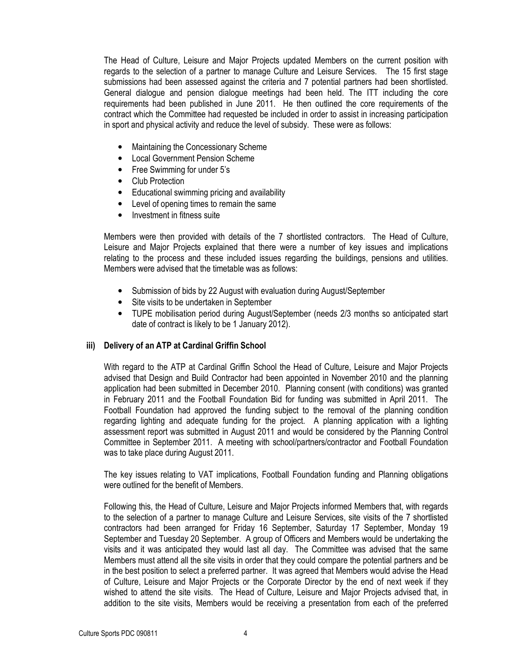The Head of Culture, Leisure and Major Projects updated Members on the current position with regards to the selection of a partner to manage Culture and Leisure Services. The 15 first stage submissions had been assessed against the criteria and 7 potential partners had been shortlisted. General dialogue and pension dialogue meetings had been held. The ITT including the core requirements had been published in June 2011. He then outlined the core requirements of the contract which the Committee had requested be included in order to assist in increasing participation in sport and physical activity and reduce the level of subsidy. These were as follows:

- Maintaining the Concessionary Scheme
- Local Government Pension Scheme
- Free Swimming for under 5's
- Club Protection
- Educational swimming pricing and availability
- Level of opening times to remain the same
- Investment in fitness suite

Members were then provided with details of the 7 shortlisted contractors. The Head of Culture, Leisure and Major Projects explained that there were a number of key issues and implications relating to the process and these included issues regarding the buildings, pensions and utilities. Members were advised that the timetable was as follows:

- Submission of bids by 22 August with evaluation during August/September
- Site visits to be undertaken in September
- TUPE mobilisation period during August/September (needs 2/3 months so anticipated start date of contract is likely to be 1 January 2012).

### iii) Delivery of an ATP at Cardinal Griffin School

With regard to the ATP at Cardinal Griffin School the Head of Culture, Leisure and Major Projects advised that Design and Build Contractor had been appointed in November 2010 and the planning application had been submitted in December 2010. Planning consent (with conditions) was granted in February 2011 and the Football Foundation Bid for funding was submitted in April 2011. The Football Foundation had approved the funding subject to the removal of the planning condition regarding lighting and adequate funding for the project. A planning application with a lighting assessment report was submitted in August 2011 and would be considered by the Planning Control Committee in September 2011. A meeting with school/partners/contractor and Football Foundation was to take place during August 2011.

The key issues relating to VAT implications, Football Foundation funding and Planning obligations were outlined for the benefit of Members.

Following this, the Head of Culture, Leisure and Major Projects informed Members that, with regards to the selection of a partner to manage Culture and Leisure Services, site visits of the 7 shortlisted contractors had been arranged for Friday 16 September, Saturday 17 September, Monday 19 September and Tuesday 20 September. A group of Officers and Members would be undertaking the visits and it was anticipated they would last all day. The Committee was advised that the same Members must attend all the site visits in order that they could compare the potential partners and be in the best position to select a preferred partner. It was agreed that Members would advise the Head of Culture, Leisure and Major Projects or the Corporate Director by the end of next week if they wished to attend the site visits. The Head of Culture, Leisure and Major Projects advised that, in addition to the site visits, Members would be receiving a presentation from each of the preferred